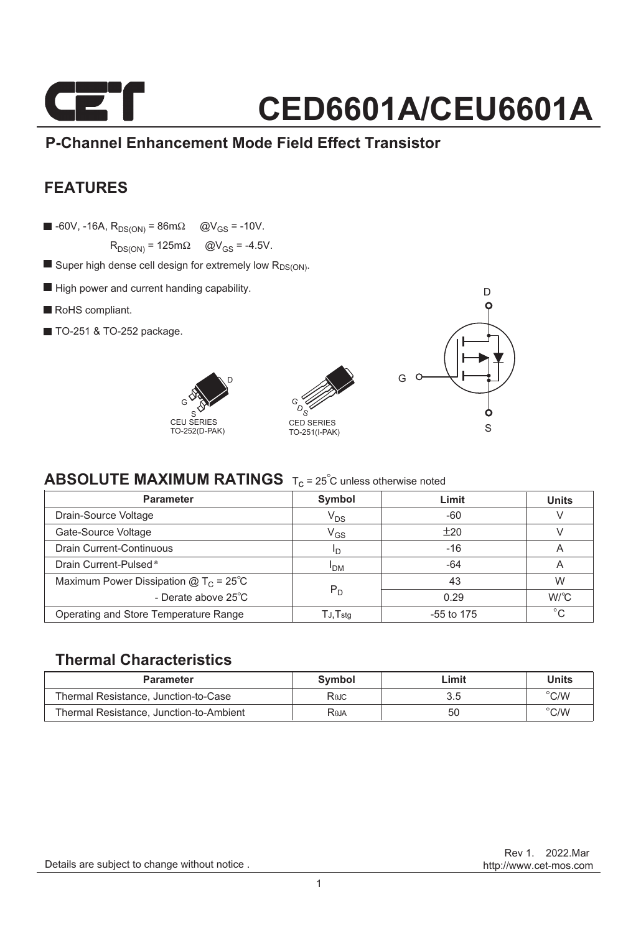

### **P-Channel Enhancement Mode Field Effect Transistor**

### **FEATURES**

 $\blacksquare$  -60V, -16A,  $R_{DS(ON)} = 86 \text{m}\Omega$  @V<sub>GS</sub> = -10V.

 $R_{DS(ON)} = 125 \text{m}\Omega$   $\textcircled{Q}V_{GS} = -4.5V$ .

- $\blacksquare$  Super high dense cell design for extremely low  $R_{DS(ON)}$ .
- $\blacksquare$  High power and current handing capability.
- RoHS compliant.
- TO-251 & TO-252 package.







### **ABSOLUTE MAXIMUM RATINGS**  $T_c = 25^\circ$ C unless otherwise noted

| <b>Parameter</b>                                | Symbol                     | Limit        | <b>Units</b> |  |
|-------------------------------------------------|----------------------------|--------------|--------------|--|
| Drain-Source Voltage                            | V <sub>DS</sub>            | $-60$        |              |  |
| Gate-Source Voltage                             | $\mathsf{V}_{\mathsf{GS}}$ | ±20          |              |  |
| <b>Drain Current-Continuous</b>                 | חי                         | $-16$        | A            |  |
| Drain Current-Pulsed <sup>a</sup>               | <b>I<sub>DM</sub></b>      | $-64$        | A            |  |
| Maximum Power Dissipation @ $T_c = 25^{\circ}C$ |                            | 43           | W            |  |
| - Derate above 25°C                             | $P_D$                      | 0.29         | W/C          |  |
| Operating and Store Temperature Range           | $TJ$ , $Tstq$              | $-55$ to 175 | $^{\circ}C$  |  |

### **Thermal Characteristics**

| <b>Parameter</b>                        | Symbol | ∟imit | Units          |
|-----------------------------------------|--------|-------|----------------|
| Thermal Resistance, Junction-to-Case    | Rejc   | 3.5   | $^{\circ}$ C/W |
| Thermal Resistance, Junction-to-Ambient | Reja   | 50    | $\degree$ C/W  |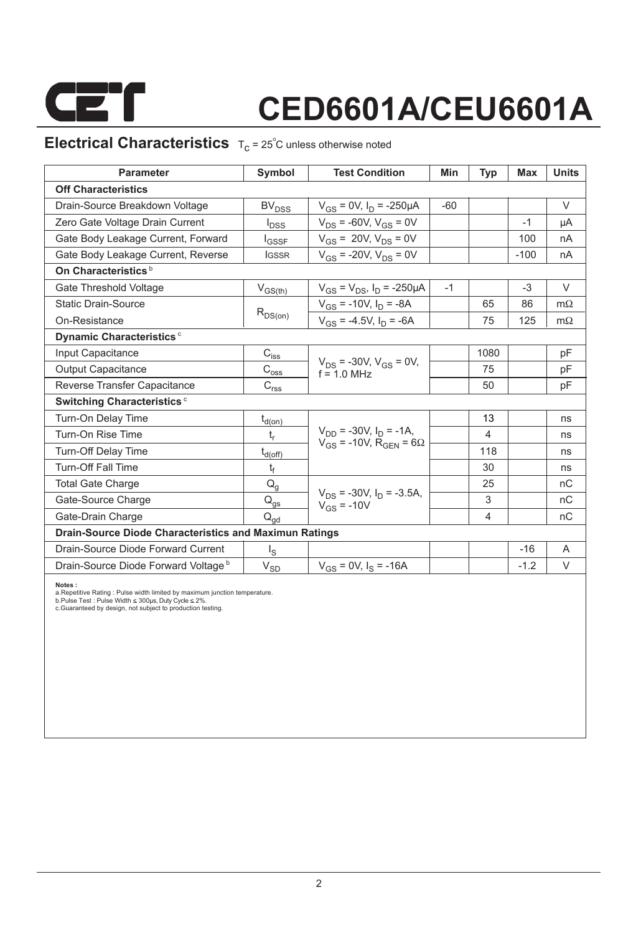

### **Electrical Characteristics**  $T_c = 25^\circ C$  unless otherwise noted

| <b>Parameter</b>                                              | Symbol                                                                | <b>Test Condition</b>                                                           | Min   | Typ  | <b>Max</b> | <b>Units</b> |  |  |  |  |
|---------------------------------------------------------------|-----------------------------------------------------------------------|---------------------------------------------------------------------------------|-------|------|------------|--------------|--|--|--|--|
| <b>Off Characteristics</b>                                    |                                                                       |                                                                                 |       |      |            |              |  |  |  |  |
| Drain-Source Breakdown Voltage                                | <b>BV<sub>DSS</sub></b>                                               | $V_{GS} = 0V$ , $I_D = -250 \mu A$                                              | $-60$ |      |            | $\vee$       |  |  |  |  |
| Zero Gate Voltage Drain Current                               | $I_{DSS}$                                                             | $V_{DS}$ = -60V, $V_{GS}$ = 0V                                                  |       |      | $-1$       | μA           |  |  |  |  |
| Gate Body Leakage Current, Forward                            | <b>I</b> GSSF                                                         | $V_{GS} = 20V, V_{DS} = 0V$                                                     |       |      | 100        | nA           |  |  |  |  |
| Gate Body Leakage Current, Reverse                            | <b>IGSSR</b>                                                          | $V_{GS}$ = -20V, $V_{DS}$ = 0V                                                  |       |      | $-100$     | nA           |  |  |  |  |
| On Characteristics <sup>b</sup>                               |                                                                       |                                                                                 |       |      |            |              |  |  |  |  |
| Gate Threshold Voltage                                        | $V_{GS(th)}$                                                          | $V_{GS} = V_{DS}$ , $I_D = -250 \mu A$                                          | $-1$  |      | $-3$       | $\vee$       |  |  |  |  |
| <b>Static Drain-Source</b>                                    |                                                                       | $V_{GS}$ = -10V, $I_D$ = -8A                                                    |       | 65   | 86         | $m\Omega$    |  |  |  |  |
| On-Resistance                                                 | $R_{DS(on)}$                                                          | $V_{GS}$ = -4.5V, $I_D$ = -6A                                                   |       | 75   | 125        | $m\Omega$    |  |  |  |  |
| Dynamic Characteristics <sup>c</sup>                          |                                                                       |                                                                                 |       |      |            |              |  |  |  |  |
| Input Capacitance                                             | $C_{i \underline{s} \underline{s}}$                                   |                                                                                 |       | 1080 |            | pF           |  |  |  |  |
| <b>Output Capacitance</b>                                     | $\text{C}_{\text{oss}}$                                               | $V_{DS}$ = -30V, $V_{GS}$ = 0V,<br>$f = 10$ MHz                                 |       | 75   |            | pF           |  |  |  |  |
| Reverse Transfer Capacitance                                  | $\mathsf{C}_{\mathsf{r}\underline{\mathsf{s}}\underline{\mathsf{s}}}$ |                                                                                 |       | 50   |            | pF           |  |  |  |  |
| Switching Characteristics <sup>c</sup>                        |                                                                       |                                                                                 |       |      |            |              |  |  |  |  |
| Turn-On Delay Time                                            | $t_{d(0n)}$                                                           |                                                                                 |       | 13   |            | ns           |  |  |  |  |
| Turn-On Rise Time                                             | t,                                                                    | $V_{DD}$ = -30V, $I_D$ = -1A,<br>$V_{GS}$ = -10V, R <sub>GEN</sub> = 6 $\Omega$ |       | 4    |            | ns           |  |  |  |  |
| Turn-Off Delay Time                                           | $t_{d(off)}$                                                          |                                                                                 |       | 118  |            | ns           |  |  |  |  |
| <b>Turn-Off Fall Time</b>                                     | t <sub>f</sub>                                                        |                                                                                 |       | 30   |            | ns           |  |  |  |  |
| <b>Total Gate Charge</b>                                      | $Q_q$                                                                 |                                                                                 |       | 25   |            | nC           |  |  |  |  |
| Gate-Source Charge                                            | $\mathsf{Q}_{\underline{\mathsf{gs}}}$                                | $V_{DS}$ = -30V, $I_D$ = -3.5A,<br>$V_{GS}$ = -10V                              |       | 3    |            | nC           |  |  |  |  |
| Gate-Drain Charge                                             | $\mathsf{Q}_{\mathsf{gd}}$                                            |                                                                                 |       | 4    |            | nC           |  |  |  |  |
| <b>Drain-Source Diode Characteristics and Maximun Ratings</b> |                                                                       |                                                                                 |       |      |            |              |  |  |  |  |
| Drain-Source Diode Forward Current                            | $I_{\rm S}$                                                           |                                                                                 |       |      | $-16$      | A            |  |  |  |  |
| Drain-Source Diode Forward Voltage b                          | $V_{SD}$                                                              | $V_{gs} = 0V$ , $I_s = -16A$                                                    |       |      | $-1.2$     | V            |  |  |  |  |

**Notes :**

a.Repetitive Rating : Pulse width limited by maximum junction temperature.<br>b.Pulse Test : Pulse Width ≤ 300µs, Duty Cycle ≤ 2%.<br>c.Guaranteed by design, not subject to production testing.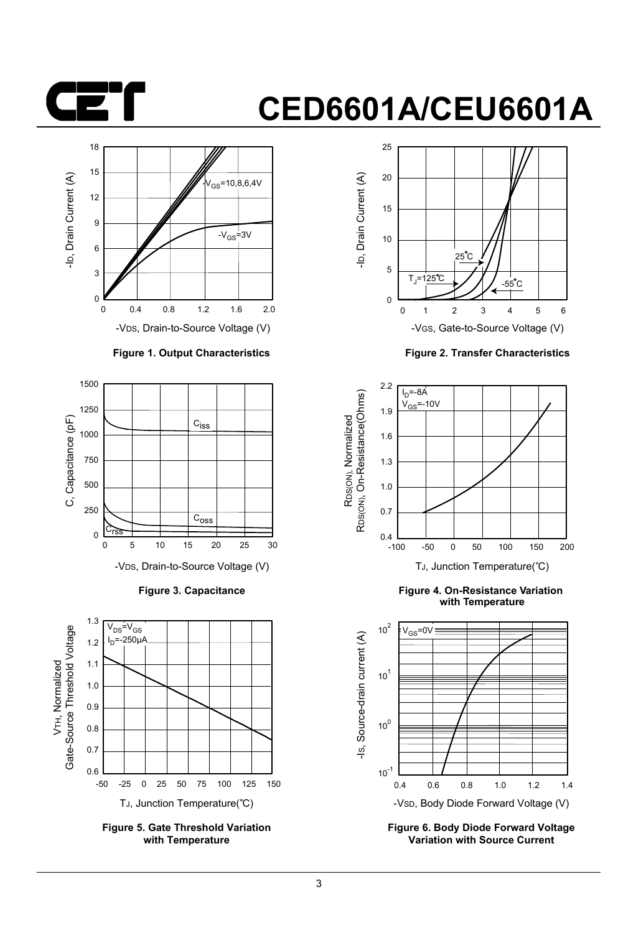



#### **Figure 1. Output Characteristics**



**Figure 3. Capacitance**



**Figure 5. Gate Threshold Variation with Temperature**



**Figure 2. Transfer Characteristics**



**Figure 4. On-Resistance Variation with Temperature**



**Figure 6. Body Diode Forward Voltage Variation with Source Current**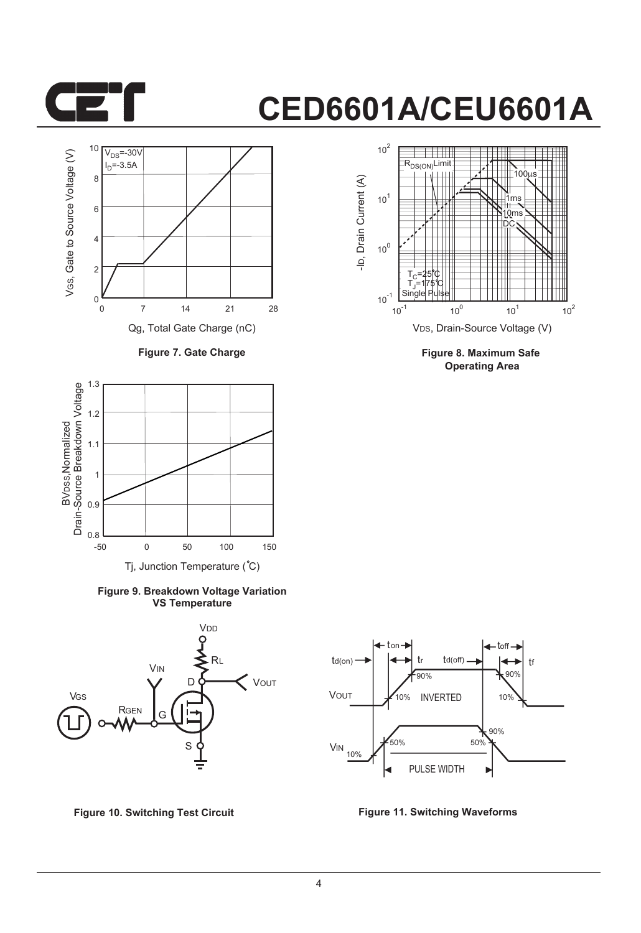



**Figure 7. Gate Charge**



**Figure 9. Breakdown Voltage Variation VS Temperature**





**Figure 8. Maximum Safe Operating Area**